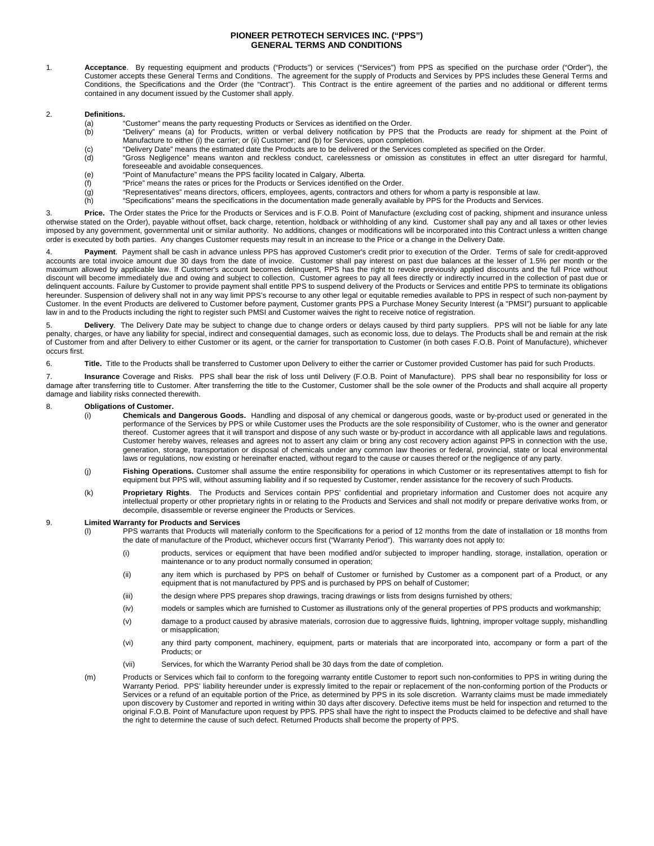# **PIONEER PETROTECH SERVICES INC. ("PPS") GENERAL TERMS AND CONDITIONS**

1. **Acceptance**. By requesting equipment and products ("Products") or services ("Services") from PPS as specified on the purchase order ("Order"), the Customer accepts these General Terms and Conditions. The agreement for the supply of Products and Services by PPS includes these General Terms and Conditions, the Specifications and the Order (the "Contract"). This Contract is the entire agreement of the parties and no additional or different terms contained in any document issued by the Customer shall apply.

## 2. **Definitions.**

- (a) "Customer" means the party requesting Products or Services as identified on the Order.<br>(b) "Delivery" means (a) for Products, written or verbal delivery notification by PPS th
- "Delivery" means (a) for Products, written or verbal delivery notification by PPS that the Products are ready for shipment at the Point of Manufacture to either (i) the carrier; or (ii) Customer; and (b) for Services, upon completion.
- (c) "Delivery Date" means the estimated date the Products are to be delivered or the Services completed as specified on the Order.<br>(d) "Gross Negligence" means wanton and reckless conduct, carelessness or omission as const
- "Gross Negligence" means wanton and reckless conduct, carelessness or omission as constitutes in effect an utter disregard for harmful, foreseeable and avoidable consequences.
- (e) "Point of Manufacture" means the PPS facility located in Calgary, Alberta.
- $\binom{f}{f}$  "Price" means the rates or prices for the Products or Services identified on the Order.<br>(g) "Representatives" means directors, officers, employees, agents, contractors and othe
- "Representatives" means directors, officers, employees, agents, contractors and others for whom a party is responsible at law.
- (h) "Specifications" means the specifications in the documentation made generally available by PPS for the Products and Services.

3. **Price.** The Order states the Price for the Products or Services and is F.O.B. Point of Manufacture (excluding cost of packing, shipment and insurance unless otherwise stated on the Order), payable without offset, back charge, retention, holdback or withholding of any kind. Customer shall pay any and all taxes or other levies imposed by any government, governmental unit or similar authority. No additions, changes or modifications will be incorporated into this Contract unless a written change order is executed by both parties. Any changes Customer requests may result in an increase to the Price or a change in the Delivery Date.

4. **Payment**. Payment shall be cash in advance unless PPS has approved Customer's credit prior to execution of the Order. Terms of sale for credit-approved accounts are total invoice amount due 30 days from the date of invoice. Customer shall pay interest on past due balances at the lesser of 1.5% per month or the maximum allowed by applicable law. If Customer's account becomes delinquent, PPS has the right to revoke previously applied discounts and the full Price without discount will become immediately due and owing and subject to collection. Customer agrees to pay all fees directly or indirectly incurred in the collection of past due or delinquent accounts. Failure by Customer to provide payment shall entitle PPS to suspend delivery of the Products or Services and entitle PPS to terminate its obligations hereunder. Suspension of delivery shall not in any way limit PPS's recourse to any other legal or equitable remedies available to PPS in respect of such non-payment by Customer. In the event Products are delivered to Customer before payment, Customer grants PPS a Purchase Money Security Interest (a "PMSI") pursuant to applicable law in and to the Products including the right to register such PMSI and Customer waives the right to receive notice of registration.

5. **Delivery**. The Delivery Date may be subject to change due to change orders or delays caused by third party suppliers. PPS will not be liable for any late penalty, charges, or have any liability for special, indirect and consequential damages, such as economic loss, due to delays. The Products shall be and remain at the risk of Customer from and after Delivery to either Customer or its agent, or the carrier for transportation to Customer (in both cases F.O.B. Point of Manufacture), whichever occurs first.

6. **Title.** Title to the Products shall be transferred to Customer upon Delivery to either the carrier or Customer provided Customer has paid for such Products.

7. **Insurance** Coverage and Risks. PPS shall bear the risk of loss until Delivery (F.O.B. Point of Manufacture). PPS shall bear no responsibility for loss or damage after transferring title to Customer. After transferring the title to the Customer, Customer shall be the sole owner of the Products and shall acquire all property damage and liability risks connected therewith.

## 8. **Obligations of Customer.**

- (i) **Chemicals and Dangerous Goods.** Handling and disposal of any chemical or dangerous goods, waste or by-product used or generated in the performance of the Services by PPS or while Customer uses the Products are the sole responsibility of Customer, who is the owner and generator thereof. Customer agrees that it will transport and dispose of any such waste or by-product in accordance with all applicable laws and regulations. Customer hereby waives, releases and agrees not to assert any claim or bring any cost recovery action against PPS in connection with the use, generation, storage, transportation or disposal of chemicals under any common law theories or federal, provincial, state or local environmental laws or regulations, now existing or hereinafter enacted, without regard to the cause or causes thereof or the negligence of any party.
- (j) **Fishing Operations.** Customer shall assume the entire responsibility for operations in which Customer or its representatives attempt to fish for equipment but PPS will, without assuming liability and if so requested by Customer, render assistance for the recovery of such Products.
- (k) **Proprietary Rights**. The Products and Services contain PPS' confidential and proprietary information and Customer does not acquire any intellectual property or other proprietary rights in or relating to the Products and Services and shall not modify or prepare derivative works from, or decompile, disassemble or reverse engineer the Products or Services.

## 9. **Limited Warranty for Products and Services**

- (l) PPS warrants that Products will materially conform to the Specifications for a period of 12 months from the date of installation or 18 months from the date of manufacture of the Product, whichever occurs first ("Warranty Period"). This warranty does not apply to:
	- (i) products, services or equipment that have been modified and/or subjected to improper handling, storage, installation, operation or maintenance or to any product normally consumed in operation;
	- (ii) any item which is purchased by PPS on behalf of Customer or furnished by Customer as a component part of a Product, or any equipment that is not manufactured by PPS and is purchased by PPS on behalf of Customer;
	- (iii) the design where PPS prepares shop drawings, tracing drawings or lists from designs furnished by others;
	- (iv) models or samples which are furnished to Customer as illustrations only of the general properties of PPS products and workmanship;
	- (v) damage to a product caused by abrasive materials, corrosion due to aggressive fluids, lightning, improper voltage supply, mishandling or misapplication;
	- (vi) any third party component, machinery, equipment, parts or materials that are incorporated into, accompany or form a part of the Products; or
	- (vii) Services, for which the Warranty Period shall be 30 days from the date of completion.
- (m) Products or Services which fail to conform to the foregoing warranty entitle Customer to report such non-conformities to PPS in writing during the Warranty Period. PPS' liability hereunder under is expressly limited to the repair or replacement of the non-conforming portion of the Products or Services or a refund of an equitable portion of the Price, as determined by PPS in its sole discretion. Warranty claims must be made immediately upon discovery by Customer and reported in writing within 30 days after discovery. Defective items must be held for inspection and returned to the original F.O.B. Point of Manufacture upon request by PPS. PPS shall have the right to inspect the Products claimed to be defective and shall have the right to determine the cause of such defect. Returned Products shall become the property of PPS.